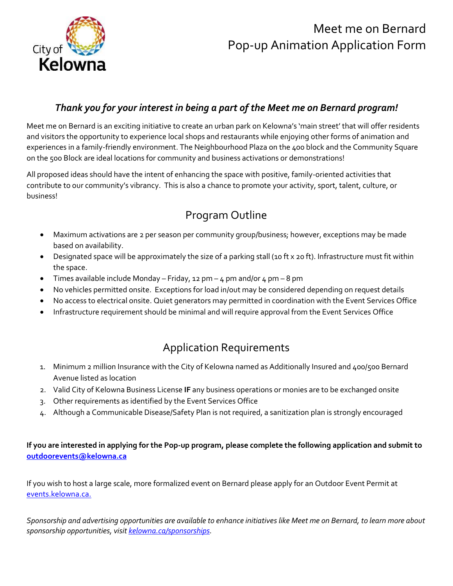

# Meet me on Bernard Pop-up Animation Application Form

#### *Thank you for your interest in being a part of the Meet me on Bernard program!*

Meet me on Bernard is an exciting initiative to create an urban park on Kelowna's 'main street' that will offer residents and visitors the opportunity to experience local shops and restaurants while enjoying other forms of animation and experiences in a family-friendly environment. The Neighbourhood Plaza on the 400 block and the Community Square on the 500 Block are ideal locations for community and business activations or demonstrations!

All proposed ideas should have the intent of enhancing the space with positive, family-oriented activities that contribute to our community's vibrancy. This is also a chance to promote your activity, sport, talent, culture, or business!

## Program Outline

- Maximum activations are 2 per season per community group/business; however, exceptions may be made based on availability.
- Designated space will be approximately the size of a parking stall (10 ft x 20 ft). Infrastructure must fit within the space.
- Times available include Monday Friday, 12 pm 4 pm and/or  $4 \text{ pm}$  8 pm
- No vehicles permitted onsite. Exceptions for load in/out may be considered depending on request details
- No access to electrical onsite. Quiet generators may permitted in coordination with the Event Services Office
- Infrastructure requirement should be minimal and will require approval from the Event Services Office

### Application Requirements

- 1. Minimum 2 million Insurance with the City of Kelowna named as Additionally Insured and 400/500 Bernard Avenue listed as location
- 2. Valid City of Kelowna Business License **IF** any business operations or monies are to be exchanged onsite
- 3. Other requirements as identified by the Event Services Office
- 4. Although a Communicable Disease/Safety Plan is not required, a sanitization plan is strongly encouraged

**If you are interested in applying for the Pop-up program, please complete the following application and submit to [outdoorevents@kelowna.ca](mailto:outdoorevents@kelowna.ca)**

If you wish to host a large scale, more formalized event on Bernard please apply for an Outdoor Event Permit at [events.kelowna.ca.](events.kelowna.ca) 

*Sponsorship and advertising opportunities are available to enhance initiatives like Meet me on Bernard, to learn more about sponsorship opportunities, visit [kelowna.ca/sponsorships.](https://www.kelowna.ca/business-services/business-city/partnerships-sponsorships)*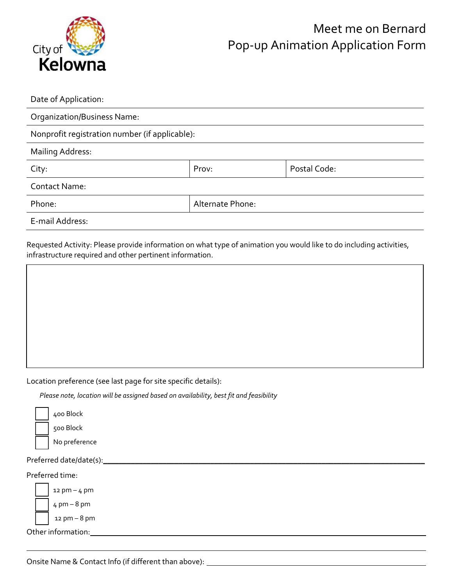

| Date of Application:                           |                  |              |  |
|------------------------------------------------|------------------|--------------|--|
| Organization/Business Name:                    |                  |              |  |
| Nonprofit registration number (if applicable): |                  |              |  |
| <b>Mailing Address:</b>                        |                  |              |  |
| City:                                          | Prov:            | Postal Code: |  |
| <b>Contact Name:</b>                           |                  |              |  |
| Phone:                                         | Alternate Phone: |              |  |
| E-mail Address:                                |                  |              |  |

Requested Activity: Please provide information on what type of animation you would like to do including activities, infrastructure required and other pertinent information.

<u> 1989 - Johann Stoff, deutscher Stoff, der Stoff, der Stoff, der Stoff, der Stoff, der Stoff, der Stoff, der S</u>

Location preference (see last page for site specific details):

*Please note, location will be assigned based on availability, best fit and feasibility* 

| 400 |
|-----|
| 500 |
|     |

No preference

**Block Block** 

Preferred date/date(s):\_\_\_\_\_\_\_\_\_\_\_\_\_\_\_\_\_\_\_\_\_\_\_\_\_\_\_\_\_\_\_\_\_\_\_\_\_\_\_\_\_\_\_\_\_\_\_\_\_\_\_\_\_\_\_\_\_\_\_\_\_\_\_\_\_\_\_\_\_\_\_\_\_\_\_\_\_\_\_\_\_

Preferred time:



Other information:

Onsite Name & Contact Info (if different than above):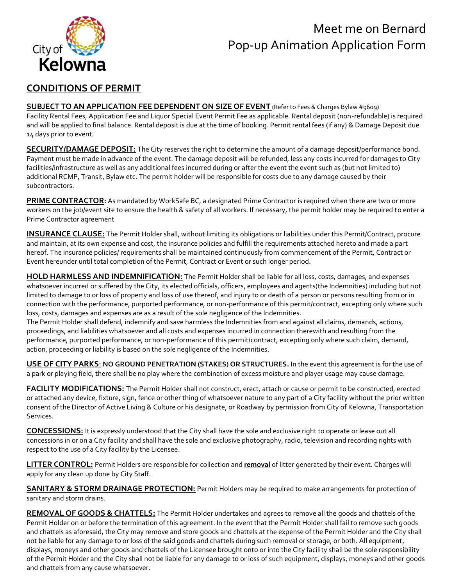# Meet me on Bernard Pop-up Animation Application Form



#### **CONDITIONS OF PERMIT**

**SUBJECT TO AN APPLICATION FEE DEPENDENT ON SIZE OF EVENT** (Refer to Fees & Charges Bylaw #9609) Facility Rental Fees, Application Fee and Liquor Special Event Permit Fee as applicable. Rental deposit (non-refundable) is required and will be applied to final balance. Rental deposit is due at the time of booking. Permit rental fees (if any) & Damage Deposit due 14 days prior to event.

**SECURITY/DAMAGE DEPOSIT:** The City reserves the right to determine the amount of a damage deposit/performance bond. Payment must be made in advance of the event. The damage deposit will be refunded, less any costs incurred for damages to City facilities/infrastructure as well as any additional fees incurred during or after the event the event such as (but not limited to) additional RCMP, Transit, Bylaw etc. The permit holder will be responsible for costs due to any damage caused by their subcontractors.

**PRIME CONTRACTOR:** As mandated by WorkSafe BC, a designated Prime Contractor is required when there are two or more workers on the job/event site to ensure the health & safety of all workers. If necessary, the permit holder may be required to enter a Prime Contractor agreement

**INSURANCE CLAUSE:** The Permit Holder shall, without limiting its obligations or liabilities under this Permit/Contract, procure and maintain, at its own expense and cost, the insurance policies and fulfill the requirements attached hereto and made a part hereof. The insurance policies/ requirements shall be maintained continuously from commencement of the Permit, Contract or Event hereunder until total completion of the Permit, Contract or Event or such longer period.

**HOLD HARMLESS AND INDEMNIFICATION:** The Permit Holder shall be liable for all loss, costs, damages, and expenses whatsoever incurred or suffered by the City, its elected officials, officers, employees and agents(the Indemnities) including but not limited to damage to or loss of property and loss of use thereof, and injury to or death of a person or persons resulting from or in connection with the performance, purported performance, or non-performance of this permit/contract, excepting only where such loss, costs, damages and expenses are as a result of the sole negligence of the Indemnities.

The Permit Holder shall defend, indemnify and save harmless the Indemnities from and against all claims, demands, actions, proceedings, and liabilities whatsoever and all costs and expenses incurred in connection therewith and resulting from the performance, purported performance, or non-performance of this permit/contract, excepting only where such claim, demand, action, proceeding or liability is based on the sole negligence of the Indemnities.

**USE OF CITY PARKS**: **NO GROUND PENETRATION (STAKES) OR STRUCTURES.** In the event this agreement is for the use of a park or playing field, there shall be no play where the combination of excess moisture and player usage may cause damage.

**FACILITY MODIFICATIONS:** The Permit Holder shall not construct, erect, attach or cause or permit to be constructed, erected or attached any device, fixture, sign, fence or other thing of whatsoever nature to any part of a City facility without the prior written consent of the Director of Active Living & Culture or his designate, or Roadway by permission from City of Kelowna, Transportation Services.

**CONCESSIONS:** It is expressly understood that the City shall have the sole and exclusive right to operate or lease out all concessions in or on a City facility and shall have the sole and exclusive photography, radio, television and recording rights with respect to the use of a City facility by the Licensee.

**LITTER CONTROL:** Permit Holders are responsible for collection and **removal** of litter generated by their event. Charges will apply for any clean up done by City Staff.

**SANITARY & STORM DRAINAGE PROTECTION:** Permit Holders may be required to make arrangements for protection of sanitary and storm drains.

**REMOVAL OF GOODS & CHATTELS:** The Permit Holder undertakes and agrees to remove all the goods and chattels of the Permit Holder on or before the termination of this agreement. In the event that the Permit Holder shall fail to remove such goods and chattels as aforesaid, the City may remove and store goods and chattels at the expense of the Permit Holder and the City shall not be liable for any damage to or loss of the said goods and chattels during such removal or storage, or both. All equipment, displays, moneys and other goods and chattels of the Licensee brought onto or into the City facility shall be the sole responsibility of the Permit Holder and the City shall not be liable for any damage to or loss of such equipment, displays, moneys and other goods and chattels from any cause whatsoever.